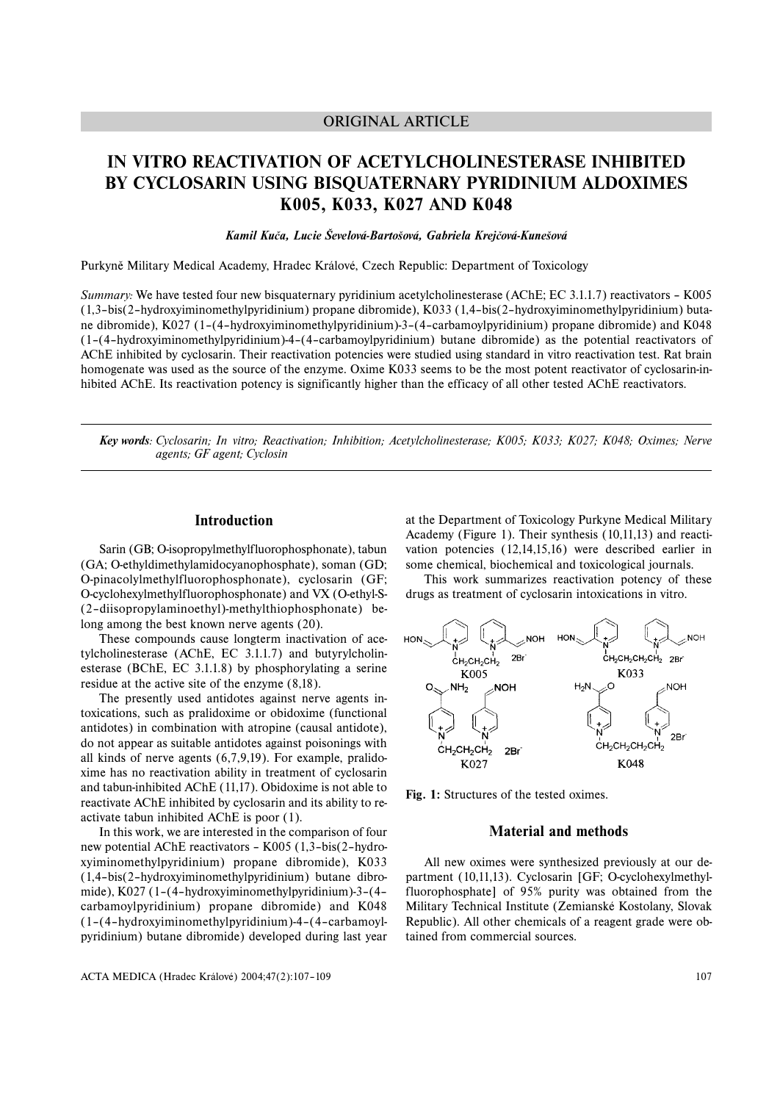## ORIGINAL ARTICLE

# **IN VITRO REACTIVATION OF ACETYLCHOLINESTERASE INHIBITED BY CYCLOSARIN USING BISQUATERNARY PYRIDINIUM ALDOXIMES K005, K033, K027 AND K048**

## *Kamil Kuča, Lucie Ševelová-Bartošová, Gabriela Krejčová-Kunešová*

Purkyně Military Medical Academy, Hradec Králové, Czech Republic: Department of Toxicology

*Summary:* We have tested four new bisquaternary pyridinium acetylcholinesterase (AChE; EC 3.1.1.7) reactivators – K005 (1,3–bis(2–hydroxyiminomethylpyridinium) propane dibromide), K033 (1,4–bis(2–hydroxyiminomethylpyridinium) butane dibromide), K027 (1–(4–hydroxyiminomethylpyridinium)-3–(4–carbamoylpyridinium) propane dibromide) and K048 (1–(4–hydroxyiminomethylpyridinium)-4–(4–carbamoylpyridinium) butane dibromide) as the potential reactivators of AChE inhibited by cyclosarin. Their reactivation potencies were studied using standard in vitro reactivation test. Rat brain homogenate was used as the source of the enzyme. Oxime K033 seems to be the most potent reactivator of cyclosarin-inhibited AChE. Its reactivation potency is significantly higher than the efficacy of all other tested AChE reactivators.

*Key words: Cyclosarin; In vitro; Reactivation; Inhibition; Acetylcholinesterase; K005; K033; K027; K048; Oximes; Nerve agents; GF agent; Cyclosin*

#### **Introduction**

Sarin (GB; O-isopropylmethylfluorophosphonate), tabun (GA; O-ethyldimethylamidocyanophosphate), soman (GD; O-pinacolylmethylfluorophosphonate), cyclosarin (GF; O-cyclohexylmethylfluorophosphonate) and VX (O-ethyl-S- (2–diisopropylaminoethyl)-methylthiophosphonate) belong among the best known nerve agents (20).

These compounds cause longterm inactivation of acetylcholinesterase (AChE, EC 3.1.1.7) and butyrylcholinesterase (BChE, EC 3.1.1.8) by phosphorylating a serine residue at the active site of the enzyme (8,18).

The presently used antidotes against nerve agents intoxications, such as pralidoxime or obidoxime (functional antidotes) in combination with atropine (causal antidote), do not appear as suitable antidotes against poisonings with all kinds of nerve agents (6,7,9,19). For example, pralidoxime has no reactivation ability in treatment of cyclosarin and tabun-inhibited AChE (11,17). Obidoxime is not able to reactivate AChE inhibited by cyclosarin and its ability to reactivate tabun inhibited AChE is poor (1).

In this work, we are interested in the comparison of four new potential AChE reactivators – K005 (1,3–bis(2–hydroxyiminomethylpyridinium) propane dibromide), K033 (1,4–bis(2–hydroxyiminomethylpyridinium) butane dibromide), K027 (1–(4–hydroxyiminomethylpyridinium)-3–(4– carbamoylpyridinium) propane dibromide) and K048 (1–(4–hydroxyiminomethylpyridinium)-4–(4–carbamoylpyridinium) butane dibromide) developed during last year

at the Department of Toxicology Purkyne Medical Military Academy (Figure 1). Their synthesis (10,11,13) and reactivation potencies (12,14,15,16) were described earlier in some chemical, biochemical and toxicological journals.

This work summarizes reactivation potency of these drugs as treatment of cyclosarin intoxications in vitro.



**Fig. 1:** Structures of the tested oximes.

## **Material and methods**

All new oximes were synthesized previously at our department (10,11,13). Cyclosarin [GF; O-cyclohexylmethylfluorophosphate] of 95% purity was obtained from the Military Technical Institute (Zemianské Kostolany, Slovak Republic). All other chemicals of a reagent grade were obtained from commercial sources.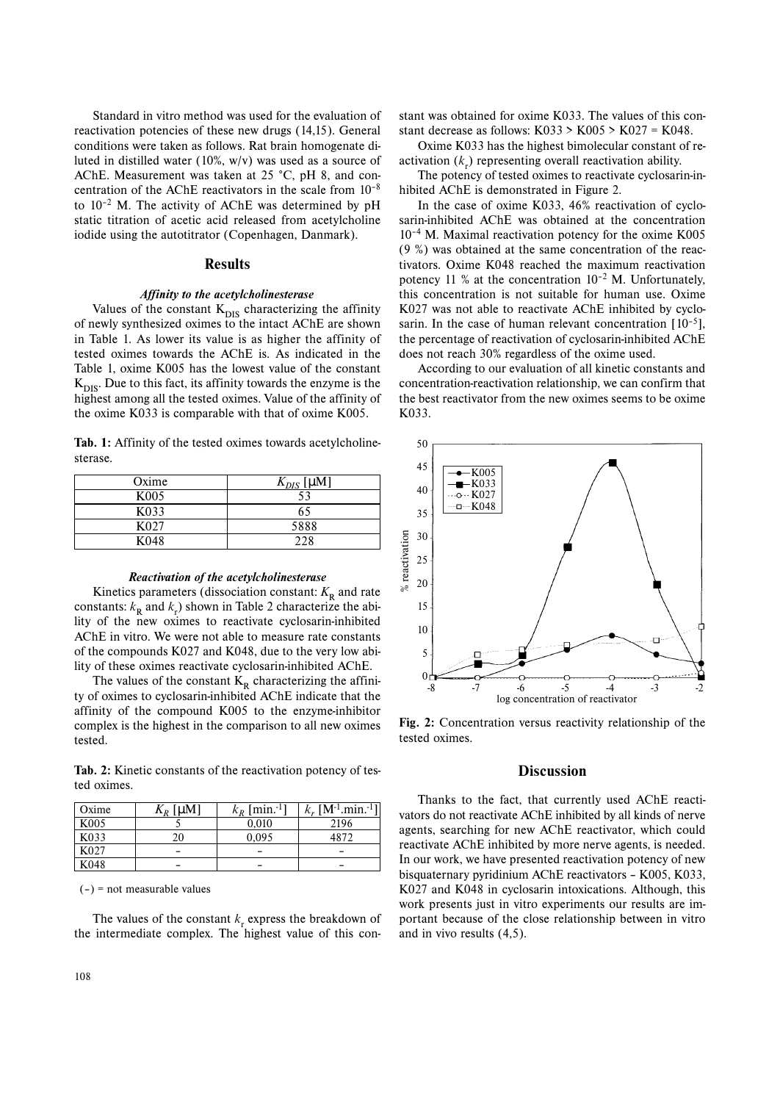Standard in vitro method was used for the evaluation of reactivation potencies of these new drugs (14,15). General conditions were taken as follows. Rat brain homogenate diluted in distilled water (10%, w/v) was used as a source of AChE. Measurement was taken at 25 °C, pH 8, and concentration of the AChE reactivators in the scale from 10–8 to  $10^{-2}$  M. The activity of AChE was determined by pH static titration of acetic acid released from acetylcholine iodide using the autotitrator (Copenhagen, Danmark).

#### **Results**

#### *Affinity to the acetylcholinesterase*

Values of the constant  $K_{DIS}$  characterizing the affinity of newly synthesized oximes to the intact AChE are shown in Table 1. As lower its value is as higher the affinity of tested oximes towards the AChE is. As indicated in the Table 1, oxime K005 has the lowest value of the constant  $K<sub>DIS</sub>$ . Due to this fact, its affinity towards the enzyme is the highest among all the tested oximes. Value of the affinity of the oxime K033 is comparable with that of oxime K005.

Tab. 1: Affinity of the tested oximes towards acetylcholinesterase.

| Oxime             | $K_{DIS}$ [µM] |  |
|-------------------|----------------|--|
| K <sub>005</sub>  | 53             |  |
| K <sub>0</sub> 33 | 65             |  |
| K027              | 5888           |  |
| K <sub>048</sub>  | 228            |  |

#### *Reactivation of the acetylcholinesterase*

Kinetics parameters (dissociation constant:  $K_R$  and rate constants:  $k_{\rm R}$  and  $k_{\rm r}$ ) shown in Table 2 characterize the ability of the new oximes to reactivate cyclosarin-inhibited AChE in vitro. We were not able to measure rate constants of the compounds K027 and K048, due to the very low ability of these oximes reactivate cyclosarin-inhibited AChE.

The values of the constant  $K_R$  characterizing the affinity of oximes to cyclosarin-inhibited AChE indicate that the affinity of the compound K005 to the enzyme-inhibitor complex is the highest in the comparison to all new oximes tested.

**Tab. 2:** Kinetic constants of the reactivation potency of tested oximes.

| Oxime            | $K_R$ [µM] | $k_R$ [min. <sup>-1</sup> ] | $k_r$ [M <sup>-1</sup> min. <sup>-1</sup> ] |
|------------------|------------|-----------------------------|---------------------------------------------|
| K <sub>005</sub> |            | 0.010                       | 2196                                        |
| K033             | 20         | 0.095                       | 4872                                        |
| K <sub>027</sub> |            |                             |                                             |
| K048             |            |                             |                                             |

 $(-)$  = not measurable values

The values of the constant  $k_r$  express the breakdown of the intermediate complex. The highest value of this con-

stant was obtained for oxime K033. The values of this constant decrease as follows:  $K033 > K005 > K027 = K048$ .

Oxime K033 has the highest bimolecular constant of reactivation  $(k_{\rm r})$  representing overall reactivation ability.

The potency of tested oximes to reactivate cyclosarin-inhibited AChE is demonstrated in Figure 2.

In the case of oxime K033, 46% reactivation of cyclosarin-inhibited AChE was obtained at the concentration 10–4 M. Maximal reactivation potency for the oxime K005 (9 %) was obtained at the same concentration of the reactivators. Oxime K048 reached the maximum reactivation potency 11 % at the concentration  $10^{-2}$  M. Unfortunately, this concentration is not suitable for human use. Oxime K027 was not able to reactivate AChE inhibited by cyclosarin. In the case of human relevant concentration  $[10^{-5}]$ , the percentage of reactivation of cyclosarin-inhibited AChE does not reach 30% regardless of the oxime used.

According to our evaluation of all kinetic constants and concentration-reactivation relationship, we can confirm that the best reactivator from the new oximes seems to be oxime K033.



**Fig. 2:** Concentration versus reactivity relationship of the tested oximes.

## **Discussion**

Thanks to the fact, that currently used AChE reactivators do not reactivate AChE inhibited by all kinds of nerve agents, searching for new AChE reactivator, which could reactivate AChE inhibited by more nerve agents, is needed. In our work, we have presented reactivation potency of new bisquaternary pyridinium AChE reactivators – K005, K033, K027 and K048 in cyclosarin intoxications. Although, this work presents just in vitro experiments our results are important because of the close relationship between in vitro and in vivo results (4,5).